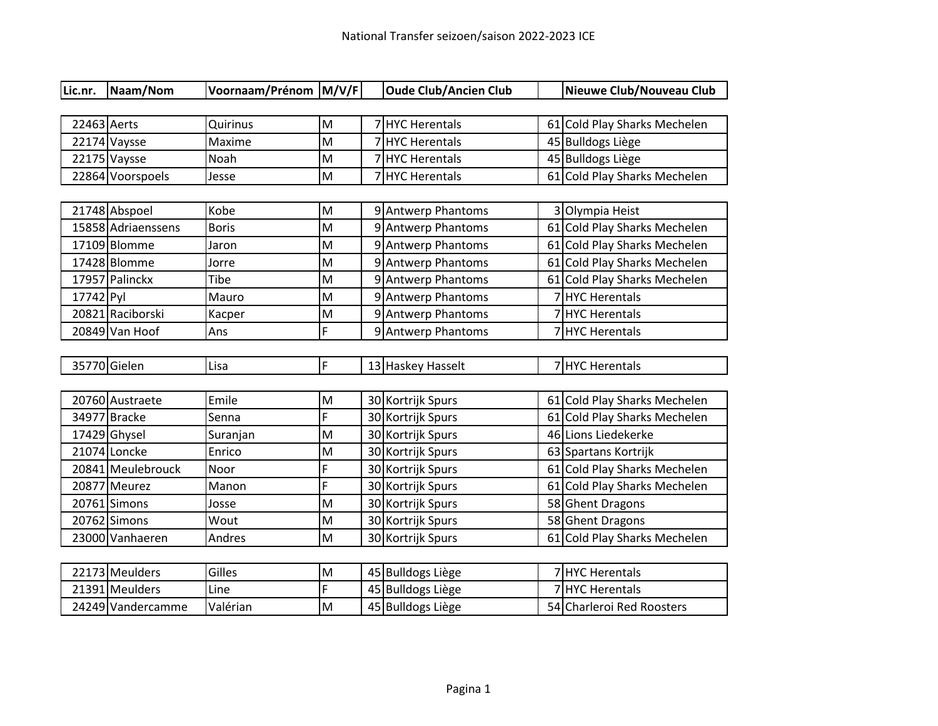| Lic.nr.     | Naam/Nom           | Voornaam/Prénom M/V/F |   |   | <b>Oude Club/Ancien Club</b> |    | Nieuwe Club/Nouveau Club     |
|-------------|--------------------|-----------------------|---|---|------------------------------|----|------------------------------|
|             |                    |                       |   |   |                              |    |                              |
| 22463 Aerts |                    | Quirinus              | M |   | 7 HYC Herentals              |    | 61 Cold Play Sharks Mechelen |
|             | 22174 Vaysse       | Maxime                | M | 7 | <b>HYC</b> Herentals         |    | 45 Bulldogs Liège            |
|             | 22175 Vaysse       | Noah                  | M | 7 | <b>HYC Herentals</b>         |    | 45 Bulldogs Liège            |
|             | 22864 Voorspoels   | Jesse                 | M |   | 7 HYC Herentals              |    | 61 Cold Play Sharks Mechelen |
|             |                    |                       |   |   |                              |    |                              |
|             | 21748 Abspoel      | Kobe                  | M |   | 9 Antwerp Phantoms           |    | 3 Olympia Heist              |
|             | 15858 Adriaenssens | <b>Boris</b>          | M |   | 9 Antwerp Phantoms           |    | 61 Cold Play Sharks Mechelen |
|             | 17109 Blomme       | Jaron                 | M |   | 9 Antwerp Phantoms           |    | 61 Cold Play Sharks Mechelen |
|             | 17428 Blomme       | Jorre                 | M |   | 9 Antwerp Phantoms           |    | 61 Cold Play Sharks Mechelen |
|             | 17957 Palinckx     | Tibe                  | M |   | 9 Antwerp Phantoms           | 61 | Cold Play Sharks Mechelen    |
| 17742 Pyl   |                    | Mauro                 | M |   | 9 Antwerp Phantoms           |    | <b>HYC Herentals</b>         |
|             | 20821 Raciborski   | Kacper                | M |   | 9 Antwerp Phantoms           |    | 7HYC Herentals               |
|             | 20849 Van Hoof     | Ans                   | F |   | 9 Antwerp Phantoms           |    | 7 HYC Herentals              |
|             |                    |                       |   |   |                              |    |                              |
|             | 35770 Gielen       | Lisa                  | F |   | 13 Haskey Hasselt            |    | 7 HYC Herentals              |
|             |                    |                       |   |   |                              |    |                              |
|             | 20760 Austraete    | Emile                 | M |   | 30 Kortrijk Spurs            |    | 61 Cold Play Sharks Mechelen |
|             | 34977 Bracke       | Senna                 | F |   | 30 Kortrijk Spurs            |    | 61 Cold Play Sharks Mechelen |
|             | 17429 Ghysel       | Suranjan              | M |   | 30 Kortrijk Spurs            |    | 46 Lions Liedekerke          |
|             | 21074 Loncke       | Enrico                | M |   | 30 Kortrijk Spurs            |    | 63 Spartans Kortrijk         |
|             | 20841 Meulebrouck  | Noor                  | F |   | 30 Kortrijk Spurs            | 61 | Cold Play Sharks Mechelen    |
|             | 20877 Meurez       | Manon                 | F |   | 30 Kortrijk Spurs            |    | 61 Cold Play Sharks Mechelen |
|             | 20761 Simons       | Josse                 | M |   | 30 Kortrijk Spurs            |    | 58 Ghent Dragons             |
|             | 20762 Simons       | Wout                  | M |   | 30 Kortrijk Spurs            |    | 58 Ghent Dragons             |
|             | 23000 Vanhaeren    | Andres                | M |   | 30 Kortrijk Spurs            | 61 | Cold Play Sharks Mechelen    |
|             |                    |                       |   |   |                              |    |                              |
|             | 22173 Meulders     | Gilles                | M |   | 45 Bulldogs Liège            |    | <b>HYC Herentals</b>         |
|             | 21391 Meulders     | Line                  | F |   | 45 Bulldogs Liège            |    | 7HYC Herentals               |
|             | 24249 Vandercamme  | Valérian              | M |   | 45 Bulldogs Liège            |    | 54 Charleroi Red Roosters    |